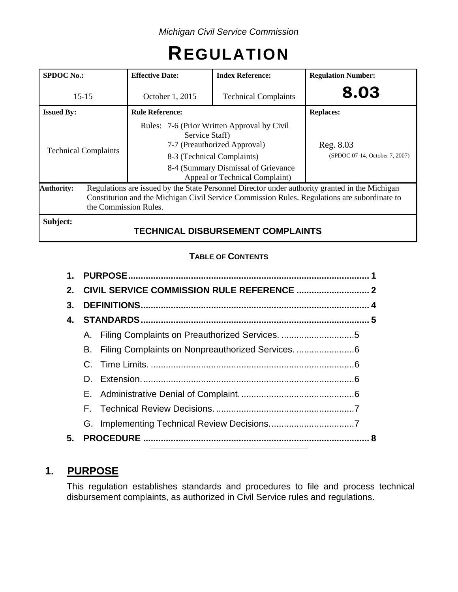# **REGULATION**

| <b>SPDOC</b> No.:           | <b>Effective Date:</b>                                                                                                                                                                                                  | <b>Index Reference:</b>                                                                                                                                                            | <b>Regulation Number:</b>                   |  |
|-----------------------------|-------------------------------------------------------------------------------------------------------------------------------------------------------------------------------------------------------------------------|------------------------------------------------------------------------------------------------------------------------------------------------------------------------------------|---------------------------------------------|--|
| $15 - 15$                   | October 1, 2015                                                                                                                                                                                                         | <b>Technical Complaints</b>                                                                                                                                                        | 8.03                                        |  |
| <b>Issued By:</b>           | <b>Rule Reference:</b>                                                                                                                                                                                                  |                                                                                                                                                                                    | <b>Replaces:</b>                            |  |
| <b>Technical Complaints</b> | Service Staff)                                                                                                                                                                                                          | Rules: 7-6 (Prior Written Approval by Civil<br>7-7 (Preauthorized Approval)<br>8-3 (Technical Complaints)<br>8-4 (Summary Dismissal of Grievance<br>Appeal or Technical Complaint) | Reg. 8.03<br>(SPDOC 07-14, October 7, 2007) |  |
| <b>Authority:</b>           | Regulations are issued by the State Personnel Director under authority granted in the Michigan<br>Constitution and the Michigan Civil Service Commission Rules. Regulations are subordinate to<br>the Commission Rules. |                                                                                                                                                                                    |                                             |  |
| Subject:                    |                                                                                                                                                                                                                         | <b>TECHNICAL DISBURSEMENT COMPLAINTS</b>                                                                                                                                           |                                             |  |

# **TABLE OF CONTENTS**

| $\mathbf 1$ . |    |                                                   |  |  |
|---------------|----|---------------------------------------------------|--|--|
| $2_{-}$       |    |                                                   |  |  |
| 3.            |    |                                                   |  |  |
| 4.            |    |                                                   |  |  |
|               |    | A. Filing Complaints on Preauthorized Services. 5 |  |  |
|               | В. |                                                   |  |  |
|               |    |                                                   |  |  |
|               | D. |                                                   |  |  |
|               |    |                                                   |  |  |
|               |    |                                                   |  |  |
|               |    |                                                   |  |  |
| 5.            |    |                                                   |  |  |

# **1. PURPOSE**

This regulation establishes standards and procedures to file and process technical disbursement complaints, as authorized in Civil Service rules and regulations.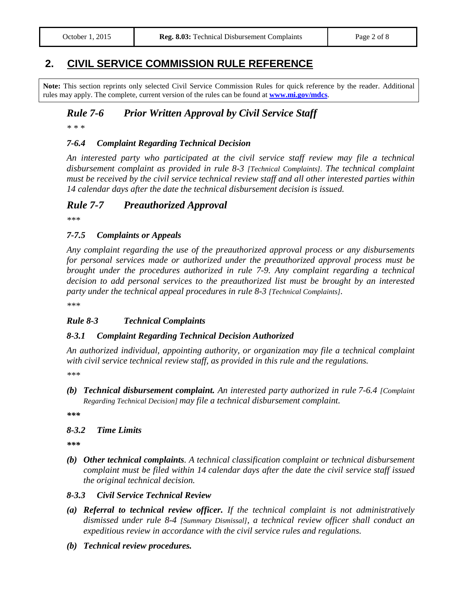# **2. CIVIL SERVICE COMMISSION RULE REFERENCE**

**Note:** This section reprints only selected Civil Service Commission Rules for quick reference by the reader. Additional rules may apply. The complete, current version of the rules can be found at **[www.mi.gov/mdcs](http://www.mi.gov/mdcs)**.

#### *Rule 7-6 Prior Written Approval by Civil Service Staff*

*\* \* \**

#### *7-6.4 Complaint Regarding Technical Decision*

*An interested party who participated at the civil service staff review may file a technical disbursement complaint as provided in rule 8-3 [Technical Complaints]. The technical complaint must be received by the civil service technical review staff and all other interested parties within 14 calendar days after the date the technical disbursement decision is issued.*

#### *Rule 7-7 Preauthorized Approval*

*\*\*\**

#### *7-7.5 Complaints or Appeals*

*Any complaint regarding the use of the preauthorized approval process or any disbursements for personal services made or authorized under the preauthorized approval process must be brought under the procedures authorized in rule 7-9. Any complaint regarding a technical decision to add personal services to the preauthorized list must be brought by an interested party under the technical appeal procedures in rule 8-3 [Technical Complaints].*

*\*\*\**

#### *Rule 8-3 Technical Complaints*

#### *8-3.1 Complaint Regarding Technical Decision Authorized*

*An authorized individual, appointing authority, or organization may file a technical complaint with civil service technical review staff, as provided in this rule and the regulations.*

*\*\*\**

*(b) Technical disbursement complaint. An interested party authorized in rule 7-6.4 [Complaint Regarding Technical Decision] may file a technical disbursement complaint.*

*\*\*\**

#### *8-3.2 Time Limits*

*\*\*\**

*(b) Other technical complaints. A technical classification complaint or technical disbursement complaint must be filed within 14 calendar days after the date the civil service staff issued the original technical decision.*

#### *8-3.3 Civil Service Technical Review*

- *(a) Referral to technical review officer. If the technical complaint is not administratively dismissed under rule 8-4 [Summary Dismissal], a technical review officer shall conduct an expeditious review in accordance with the civil service rules and regulations.*
- *(b) Technical review procedures.*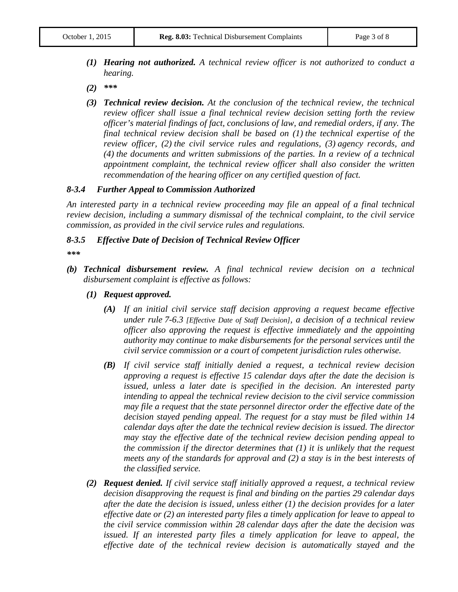- *(1) Hearing not authorized. A technical review officer is not authorized to conduct a hearing.*
- *(2) \*\*\**
- *(3) Technical review decision. At the conclusion of the technical review, the technical review officer shall issue a final technical review decision setting forth the review officer's material findings of fact, conclusions of law, and remedial orders, if any. The final technical review decision shall be based on (1) the technical expertise of the review officer, (2) the civil service rules and regulations, (3) agency records, and (4) the documents and written submissions of the parties. In a review of a technical appointment complaint, the technical review officer shall also consider the written recommendation of the hearing officer on any certified question of fact.*

#### *8-3.4 Further Appeal to Commission Authorized*

*An interested party in a technical review proceeding may file an appeal of a final technical review decision, including a summary dismissal of the technical complaint, to the civil service commission, as provided in the civil service rules and regulations.*

#### *8-3.5 Effective Date of Decision of Technical Review Officer*

- *\*\*\**
- *(b) Technical disbursement review. A final technical review decision on a technical disbursement complaint is effective as follows:*
	- *(1) Request approved.*
		- *(A) If an initial civil service staff decision approving a request became effective under rule 7-6.3 [Effective Date of Staff Decision], a decision of a technical review officer also approving the request is effective immediately and the appointing authority may continue to make disbursements for the personal services until the civil service commission or a court of competent jurisdiction rules otherwise.*
		- *(B) If civil service staff initially denied a request, a technical review decision approving a request is effective 15 calendar days after the date the decision is issued, unless a later date is specified in the decision. An interested party intending to appeal the technical review decision to the civil service commission may file a request that the state personnel director order the effective date of the decision stayed pending appeal. The request for a stay must be filed within 14 calendar days after the date the technical review decision is issued. The director may stay the effective date of the technical review decision pending appeal to the commission if the director determines that (1) it is unlikely that the request meets any of the standards for approval and (2) a stay is in the best interests of the classified service.*
	- *(2) Request denied. If civil service staff initially approved a request, a technical review decision disapproving the request is final and binding on the parties 29 calendar days after the date the decision is issued, unless either (1) the decision provides for a later effective date or (2) an interested party files a timely application for leave to appeal to the civil service commission within 28 calendar days after the date the decision was issued. If an interested party files a timely application for leave to appeal, the effective date of the technical review decision is automatically stayed and the*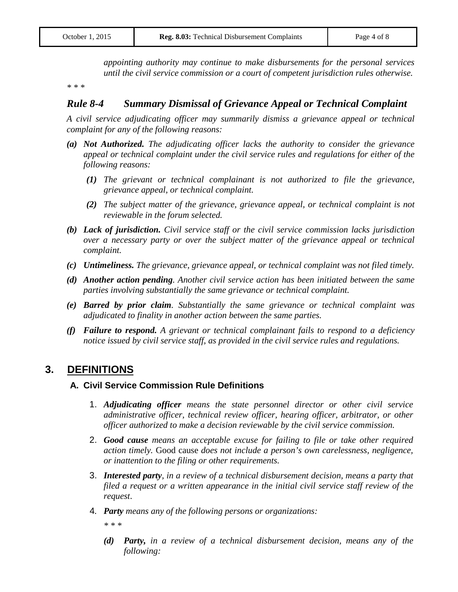*appointing authority may continue to make disbursements for the personal services until the civil service commission or a court of competent jurisdiction rules otherwise.*

*\* \* \**

#### *Rule 8-4 Summary Dismissal of Grievance Appeal or Technical Complaint*

*A civil service adjudicating officer may summarily dismiss a grievance appeal or technical complaint for any of the following reasons:*

- *(a) Not Authorized. The adjudicating officer lacks the authority to consider the grievance appeal or technical complaint under the civil service rules and regulations for either of the following reasons:*
	- *(1) The grievant or technical complainant is not authorized to file the grievance, grievance appeal, or technical complaint.*
	- *(2) The subject matter of the grievance, grievance appeal, or technical complaint is not reviewable in the forum selected.*
- *(b) Lack of jurisdiction. Civil service staff or the civil service commission lacks jurisdiction over a necessary party or over the subject matter of the grievance appeal or technical complaint.*
- *(c) Untimeliness. The grievance, grievance appeal, or technical complaint was not filed timely.*
- *(d) Another action pending. Another civil service action has been initiated between the same parties involving substantially the same grievance or technical complaint.*
- *(e) Barred by prior claim. Substantially the same grievance or technical complaint was adjudicated to finality in another action between the same parties.*
- *(f) Failure to respond. A grievant or technical complainant fails to respond to a deficiency notice issued by civil service staff, as provided in the civil service rules and regulations.*

## **3. DEFINITIONS**

#### **A. Civil Service Commission Rule Definitions**

- 1. *Adjudicating officer means the state personnel director or other civil service administrative officer, technical review officer, hearing officer, arbitrator, or other officer authorized to make a decision reviewable by the civil service commission.*
- 2. *Good cause means an acceptable excuse for failing to file or take other required action timely.* Good cause *does not include a person's own carelessness, negligence, or inattention to the filing or other requirements.*
- 3. *Interested party, in a review of a technical disbursement decision, means a party that filed a request or a written appearance in the initial civil service staff review of the request*.
- 4*. Party means any of the following persons or organizations:*

*\* \* \**

*(d) Party, in a review of a technical disbursement decision, means any of the following:*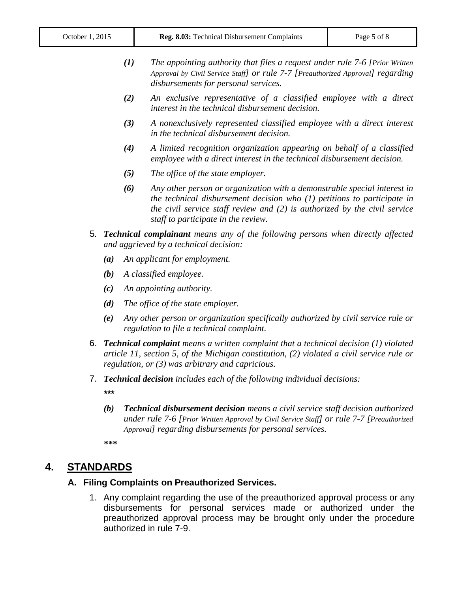| (1) | The appointing authority that files a request under rule 7-6 [Prior Written]    |
|-----|---------------------------------------------------------------------------------|
|     | Approval by Civil Service Staff) or rule 7-7 [Preauthorized Approval] regarding |
|     | disbursements for personal services.                                            |

- *(2) An exclusive representative of a classified employee with a direct interest in the technical disbursement decision.*
- *(3) A nonexclusively represented classified employee with a direct interest in the technical disbursement decision.*
- *(4) A limited recognition organization appearing on behalf of a classified employee with a direct interest in the technical disbursement decision.*
- *(5) The office of the state employer.*
- *(6) Any other person or organization with a demonstrable special interest in the technical disbursement decision who (1) petitions to participate in the civil service staff review and (2) is authorized by the civil service staff to participate in the review.*
- 5*. Technical complainant means any of the following persons when directly affected and aggrieved by a technical decision:*
	- *(a) An applicant for employment.*
	- *(b) A classified employee.*
	- *(c) An appointing authority.*
	- *(d) The office of the state employer.*
	- *(e) Any other person or organization specifically authorized by civil service rule or regulation to file a technical complaint.*
- 6. *Technical complaint means a written complaint that a technical decision (1) violated article 11, section 5, of the Michigan constitution, (2) violated a civil service rule or regulation, or (3) was arbitrary and capricious.*
- 7. *Technical decision includes each of the following individual decisions: \*\*\**
	- *(b) Technical disbursement decision means a civil service staff decision authorized under rule 7-6 [Prior Written Approval by Civil Service Staff] or rule 7-7 [Preauthorized Approval] regarding disbursements for personal services.*

**\*\*\***

## **4. STANDARDS**

#### **A. Filing Complaints on Preauthorized Services.**

1. Any complaint regarding the use of the preauthorized approval process or any disbursements for personal services made or authorized under the preauthorized approval process may be brought only under the procedure authorized in rule 7-9.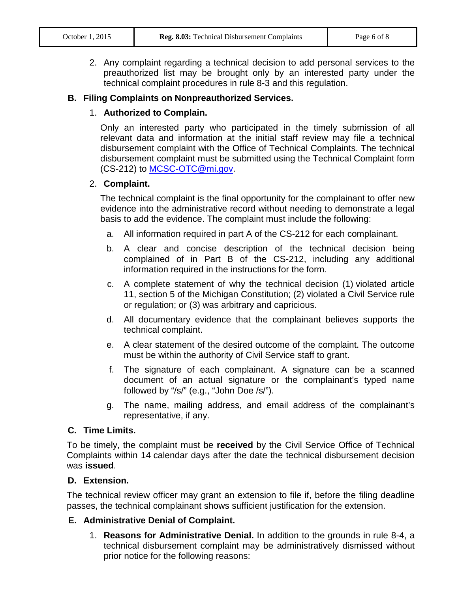2. Any complaint regarding a technical decision to add personal services to the preauthorized list may be brought only by an interested party under the technical complaint procedures in rule 8-3 and this regulation.

#### **B. Filing Complaints on Nonpreauthorized Services.**

#### 1. **Authorized to Complain.**

Only an interested party who participated in the timely submission of all relevant data and information at the initial staff review may file a technical disbursement complaint with the Office of Technical Complaints. The technical disbursement complaint must be submitted using the Technical Complaint form (CS-212) to [MCSC-OTC@mi.gov.](mailto:MCSC-OTC@mi.gov)

#### 2. **Complaint.**

The technical complaint is the final opportunity for the complainant to offer new evidence into the administrative record without needing to demonstrate a legal basis to add the evidence. The complaint must include the following:

- a. All information required in part A of the CS-212 for each complainant.
- b. A clear and concise description of the technical decision being complained of in Part B of the CS-212, including any additional information required in the instructions for the form.
- c. A complete statement of why the technical decision (1) violated article 11, section 5 of the Michigan Constitution; (2) violated a Civil Service rule or regulation; or (3) was arbitrary and capricious.
- d. All documentary evidence that the complainant believes supports the technical complaint.
- e. A clear statement of the desired outcome of the complaint. The outcome must be within the authority of Civil Service staff to grant.
- f. The signature of each complainant. A signature can be a scanned document of an actual signature or the complainant's typed name followed by "/s/" (e.g., "John Doe /s/").
- g. The name, mailing address, and email address of the complainant's representative, if any.

#### **C. Time Limits.**

To be timely, the complaint must be **received** by the Civil Service Office of Technical Complaints within 14 calendar days after the date the technical disbursement decision was **issued**.

#### **D. Extension.**

The technical review officer may grant an extension to file if, before the filing deadline passes, the technical complainant shows sufficient justification for the extension.

#### **E. Administrative Denial of Complaint.**

1. **Reasons for Administrative Denial.** In addition to the grounds in rule 8-4, a technical disbursement complaint may be administratively dismissed without prior notice for the following reasons: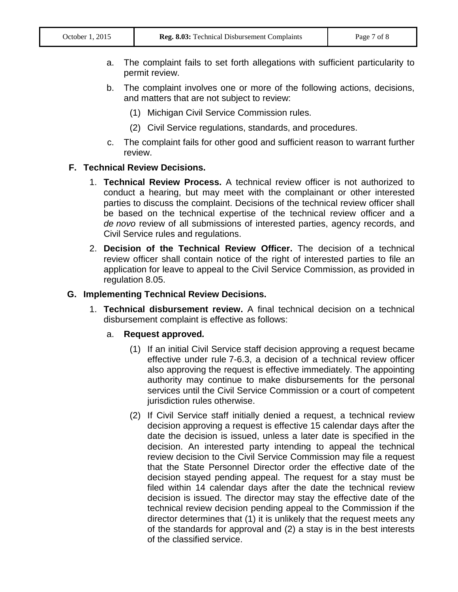- a. The complaint fails to set forth allegations with sufficient particularity to permit review.
- b. The complaint involves one or more of the following actions, decisions, and matters that are not subject to review:
	- (1) Michigan Civil Service Commission rules.
	- (2) Civil Service regulations, standards, and procedures.
- c. The complaint fails for other good and sufficient reason to warrant further review.

#### **F. Technical Review Decisions.**

- 1. **Technical Review Process.** A technical review officer is not authorized to conduct a hearing, but may meet with the complainant or other interested parties to discuss the complaint. Decisions of the technical review officer shall be based on the technical expertise of the technical review officer and a *de novo* review of all submissions of interested parties, agency records, and Civil Service rules and regulations.
- 2. **Decision of the Technical Review Officer.** The decision of a technical review officer shall contain notice of the right of interested parties to file an application for leave to appeal to the Civil Service Commission, as provided in regulation 8.05.

#### **G. Implementing Technical Review Decisions.**

1. **Technical disbursement review.** A final technical decision on a technical disbursement complaint is effective as follows:

#### a. **Request approved***.*

- (1) If an initial Civil Service staff decision approving a request became effective under rule 7-6.3, a decision of a technical review officer also approving the request is effective immediately. The appointing authority may continue to make disbursements for the personal services until the Civil Service Commission or a court of competent jurisdiction rules otherwise.
- (2) If Civil Service staff initially denied a request, a technical review decision approving a request is effective 15 calendar days after the date the decision is issued, unless a later date is specified in the decision. An interested party intending to appeal the technical review decision to the Civil Service Commission may file a request that the State Personnel Director order the effective date of the decision stayed pending appeal. The request for a stay must be filed within 14 calendar days after the date the technical review decision is issued. The director may stay the effective date of the technical review decision pending appeal to the Commission if the director determines that (1) it is unlikely that the request meets any of the standards for approval and (2) a stay is in the best interests of the classified service.